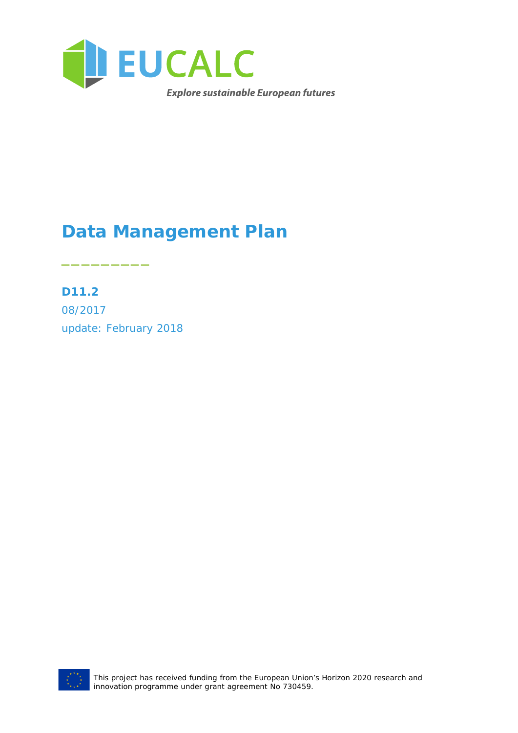

## **Data Management Plan**

**D11.2** 08/2017 update: February 2018

\_\_\_\_\_\_\_\_\_



This project has received funding from the European Union's Horizon 2020 research and innovation programme under grant agreement No 730459.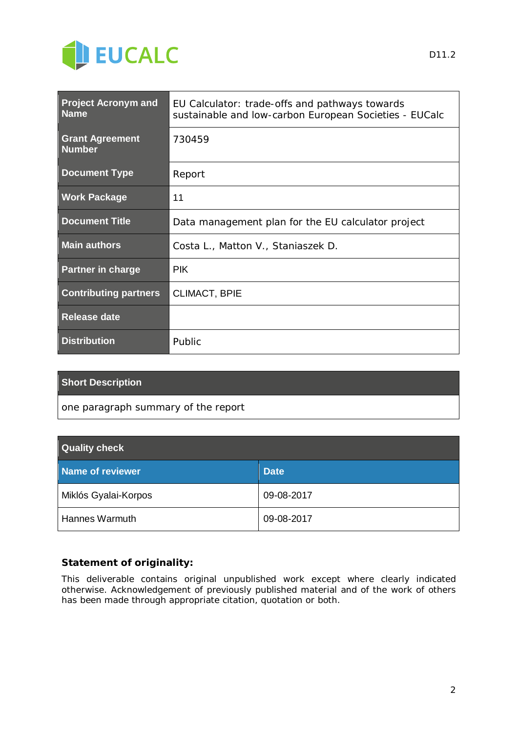

| <b>Project Acronym and</b><br><b>Name</b> | EU Calculator: trade-offs and pathways towards<br>sustainable and low-carbon European Societies - EUCalc |
|-------------------------------------------|----------------------------------------------------------------------------------------------------------|
| <b>Grant Agreement</b><br><b>Number</b>   | 730459                                                                                                   |
| <b>Document Type</b>                      | Report                                                                                                   |
| <b>Work Package</b>                       | 11                                                                                                       |
| <b>Document Title</b>                     | Data management plan for the EU calculator project                                                       |
| <b>Main authors</b>                       | Costa L., Matton V., Staniaszek D.                                                                       |
| <b>Partner in charge</b>                  | <b>PIK</b>                                                                                               |
| <b>Contributing partners</b>              | <b>CLIMACT, BPIE</b>                                                                                     |
| <b>Release date</b>                       |                                                                                                          |
| <b>Distribution</b>                       | Public                                                                                                   |

### **Short Description**

*one paragraph summary of the report*

| <b>Quality check</b> |             |  |
|----------------------|-------------|--|
| Name of reviewer     | <b>Date</b> |  |
| Miklós Gyalai-Korpos | 09-08-2017  |  |
| Hannes Warmuth       | 09-08-2017  |  |

#### **Statement of originality:**

This deliverable contains original unpublished work except where clearly indicated otherwise. Acknowledgement of previously published material and of the work of others has been made through appropriate citation, quotation or both.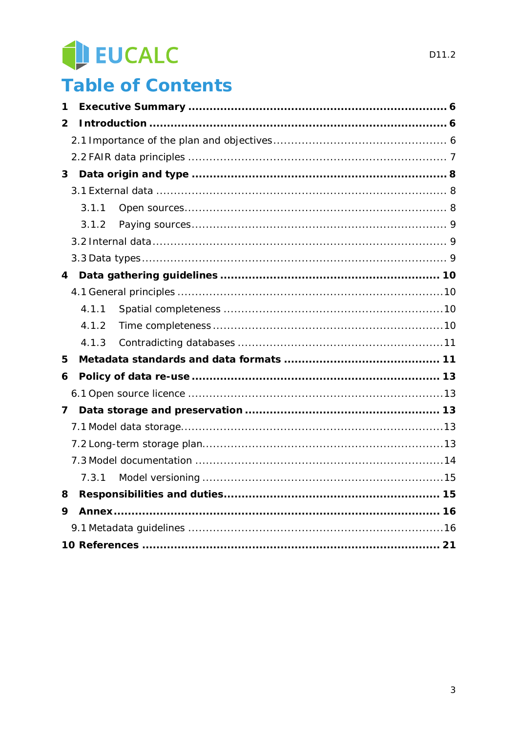## EUCALC

## **Table of Contents**

| 1 |       |  |
|---|-------|--|
| 2 |       |  |
|   |       |  |
|   |       |  |
| 3 |       |  |
|   |       |  |
|   | 3.1.1 |  |
|   | 3.1.2 |  |
|   |       |  |
|   |       |  |
| 4 |       |  |
|   |       |  |
|   | 4.1.1 |  |
|   | 4.1.2 |  |
|   | 4.1.3 |  |
| 5 |       |  |
| 6 |       |  |
|   |       |  |
| 7 |       |  |
|   |       |  |
|   |       |  |
|   |       |  |
|   | 7.3.1 |  |
| 8 |       |  |
| 9 |       |  |
|   |       |  |
|   |       |  |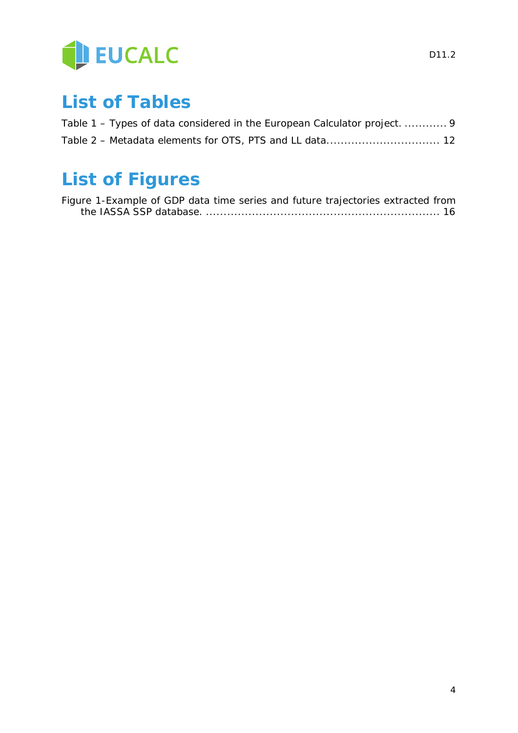

## **List of Tables**

| Table 1 – Types of data considered in the European Calculator project.  9 |  |
|---------------------------------------------------------------------------|--|
|                                                                           |  |

## **List of Figures**

| Figure 1-Example of GDP data time series and future trajectories extracted from |  |  |
|---------------------------------------------------------------------------------|--|--|
|                                                                                 |  |  |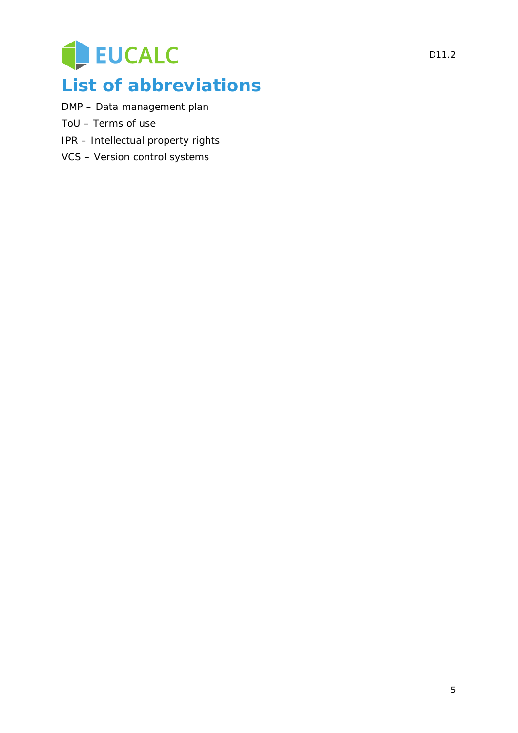## EUCALC **List of abbreviations**

- DMP Data management plan
- ToU Terms of use
- IPR Intellectual property rights
- VCS Version control systems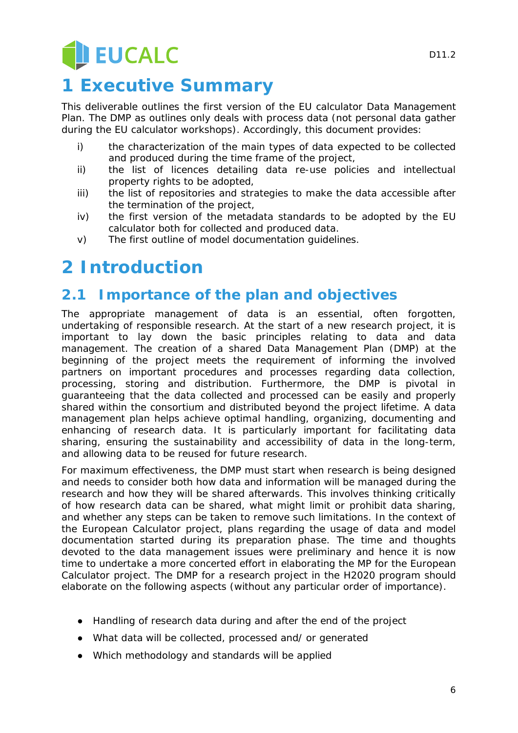# EUCALC

## **1 Executive Summary**

This deliverable outlines the first version of the EU calculator Data Management Plan. The DMP as outlines only deals with process data (not personal data gather during the EU calculator workshops). Accordingly, this document provides:

- i) the characterization of the main types of data expected to be collected and produced during the time frame of the project,
- ii) the list of licences detailing data re-use policies and intellectual property rights to be adopted,
- iii) the list of repositories and strategies to make the data accessible after the termination of the project,
- iv) the first version of the metadata standards to be adopted by the EU calculator both for collected and produced data.
- v) The first outline of model documentation guidelines.

## **2 Introduction**

### **2.1 Importance of the plan and objectives**

The appropriate management of data is an essential, often forgotten, undertaking of responsible research. At the start of a new research project, it is important to lay down the basic principles relating to data and data management. The creation of a shared Data Management Plan (DMP) at the beginning of the project meets the requirement of informing the involved partners on important procedures and processes regarding data collection, processing, storing and distribution. Furthermore, the DMP is pivotal in guaranteeing that the data collected and processed can be easily and properly shared within the consortium and distributed beyond the project lifetime. A data management plan helps achieve optimal handling, organizing, documenting and enhancing of research data. It is particularly important for facilitating data sharing, ensuring the sustainability and accessibility of data in the long-term, and allowing data to be reused for future research.

For maximum effectiveness, the DMP must start when research is being designed and needs to consider both how data and information will be managed during the research and how they will be shared afterwards. This involves thinking critically of how research data can be shared, what might limit or prohibit data sharing, and whether any steps can be taken to remove such limitations. In the context of the European Calculator project, plans regarding the usage of data and model documentation started during its preparation phase. The time and thoughts devoted to the data management issues were preliminary and hence it is now time to undertake a more concerted effort in elaborating the MP for the European Calculator project. The DMP for a research project in the H2020 program should elaborate on the following aspects (without any particular order of importance).

- Handling of research data during and after the end of the project
- What data will be collected, processed and/ or generated
- Which methodology and standards will be applied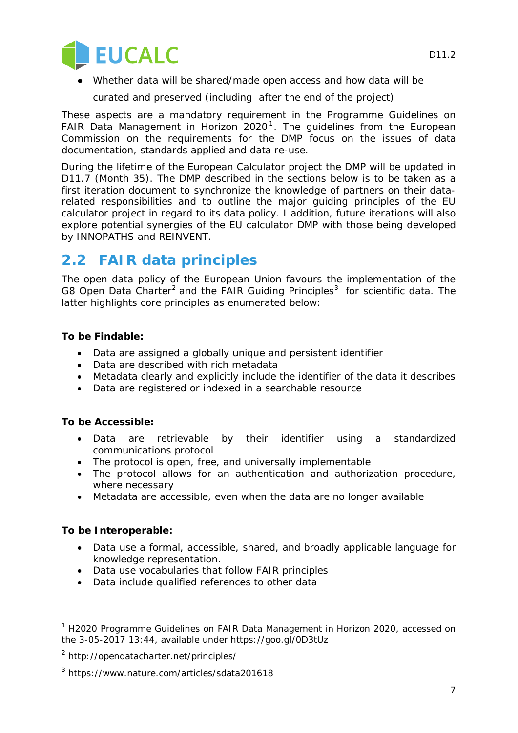

Whether data will be shared/made open access and how data will be

curated and preserved (including after the end of the project)

These aspects are a mandatory requirement in the Programme Guidelines on FAIR Data Management in Horizon  $2020<sup>1</sup>$  $2020<sup>1</sup>$  $2020<sup>1</sup>$ . The guidelines from the European Commission on the requirements for the DMP focus on the issues of data documentation, standards applied and data re-use.

During the lifetime of the European Calculator project the DMP will be updated in D11.7 (Month 35). The DMP described in the sections below is to be taken as a first iteration document to synchronize the knowledge of partners on their datarelated responsibilities and to outline the major guiding principles of the EU calculator project in regard to its data policy. I addition, future iterations will also explore potential synergies of the EU calculator DMP with those being developed by INNOPATHS and REINVENT.

### **2.2 FAIR data principles**

The open data policy of the European Union favours the implementation of the G8 Open Data Charter<sup>[2](#page-6-1)</sup> and the FAIR Guiding Principles<sup>[3](#page-6-2)</sup> for scientific data. The latter highlights core principles as enumerated below:

### **To be Findable:**

- Data are assigned a globally unique and persistent identifier
- Data are described with rich metadata
- Metadata clearly and explicitly include the identifier of the data it describes
- Data are registered or indexed in a searchable resource

#### **To be Accessible:**

- Data are retrievable by their identifier using a standardized communications protocol
- The protocol is open, free, and universally implementable
- The protocol allows for an authentication and authorization procedure, where necessary
- Metadata are accessible, even when the data are no longer available

#### **To be Interoperable:**

l

- Data use a formal, accessible, shared, and broadly applicable language for knowledge representation.
- Data use vocabularies that follow FAIR principles
- Data include qualified references to other data

<span id="page-6-0"></span> $1$  H2020 Programme Guidelines on FAIR Data Management in Horizon 2020, accessed on the 3-05-2017 13:44, available under https://goo.gl/0D3tUz

<span id="page-6-1"></span><sup>2</sup> http://opendatacharter.net/principles/

<span id="page-6-2"></span><sup>3</sup> https://www.nature.com/articles/sdata201618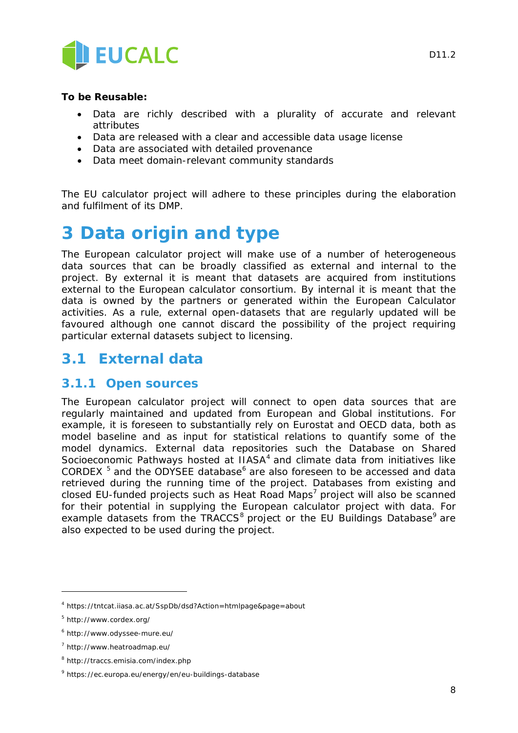

### **To be Reusable:**

- Data are richly described with a plurality of accurate and relevant attributes
- Data are released with a clear and accessible data usage license
- Data are associated with detailed provenance
- Data meet domain-relevant community standards

The EU calculator project will adhere to these principles during the elaboration and fulfilment of its DMP.

### <span id="page-7-6"></span>**3 Data origin and type**

The European calculator project will make use of a number of heterogeneous data sources that can be broadly classified as external and internal to the project. By external it is meant that datasets are acquired from institutions external to the European calculator consortium. By internal it is meant that the data is owned by the partners or generated within the European Calculator activities. As a rule, external open-datasets that are regularly updated will be favoured although one cannot discard the possibility of the project requiring particular external datasets subject to licensing.

### **3.1 External data**

### **3.1.1 Open sources**

The European calculator project will connect to open data sources that are regularly maintained and updated from European and Global institutions. For example, it is foreseen to substantially rely on Eurostat and OECD data, both as model baseline and as input for statistical relations to quantify some of the model dynamics. External data repositories such the Database on Shared Socioeconomic Pathways hosted at IIASA<sup>[4](#page-7-0)</sup> and climate data from initiatives like CORDEX  $5$  and the ODYSEE database<sup>[6](#page-7-2)</sup> are also foreseen to be accessed and data retrieved during the running time of the project. Databases from existing and closed EU-funded projects such as Heat Road Maps<sup>[7](#page-7-3)</sup> project will also be scanned for their potential in supplying the European calculator project with data. For example datasets from the TRACCS<sup>[8](#page-7-4)</sup> project or the EU Buildings Database<sup>[9](#page-7-5)</sup> are also expected to be used during the project.

i<br>I

<span id="page-7-0"></span><sup>4</sup> https://tntcat.iiasa.ac.at/SspDb/dsd?Action=htmlpage&page=about

<span id="page-7-1"></span><sup>5</sup> http://www.cordex.org/

<span id="page-7-2"></span><sup>6</sup> http://www.odyssee-mure.eu/

<span id="page-7-3"></span><sup>7</sup> http://www.heatroadmap.eu/

<span id="page-7-4"></span><sup>8</sup> http://traccs.emisia.com/index.php

<span id="page-7-5"></span><sup>9</sup> https://ec.europa.eu/energy/en/eu-buildings-database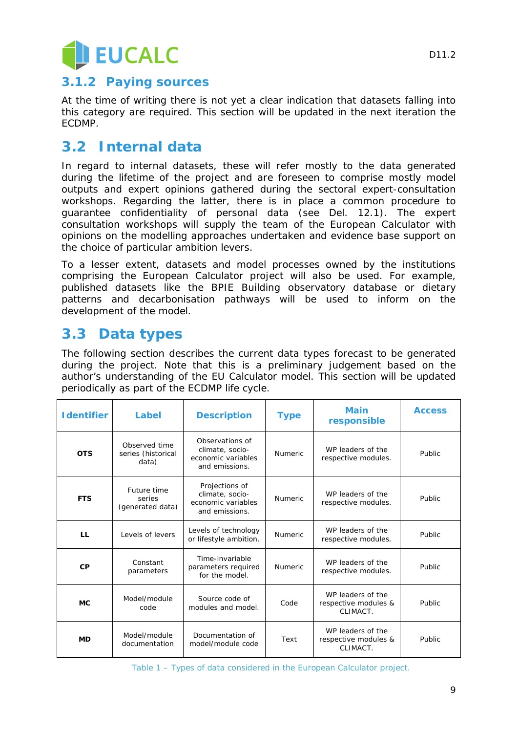

### **3.1.2 Paying sources**

At the time of writing there is not yet a clear indication that datasets falling into this category are required. This section will be updated in the next iteration the ECDMP.

### **3.2 Internal data**

In regard to internal datasets, these will refer mostly to the data generated during the lifetime of the project and are foreseen to comprise mostly model outputs and expert opinions gathered during the sectoral expert-consultation workshops. Regarding the latter, there is in place a common procedure to guarantee confidentiality of personal data (see Del. 12.1). The expert consultation workshops will supply the team of the European Calculator with opinions on the modelling approaches undertaken and evidence base support on the choice of particular ambition levers.

To a lesser extent, datasets and model processes owned by the institutions comprising the European Calculator project will also be used. For example, published datasets like the BPIE Building observatory database or dietary patterns and decarbonisation pathways will be used to inform on the development of the model.

### <span id="page-8-1"></span>**3.3 Data types**

The following section describes the current data types forecast to be generated during the project. Note that this is a preliminary judgement based on the author's understanding of the EU Calculator model. This section will be updated periodically as part of the ECDMP life cycle.

| <b>I</b> dentifier | Label                                        | <b>Description</b>                                                         | <b>Type</b>    | <b>Main</b><br>responsible                            | <b>Access</b> |
|--------------------|----------------------------------------------|----------------------------------------------------------------------------|----------------|-------------------------------------------------------|---------------|
| <b>OTS</b>         | Observed time<br>series (historical<br>data) | Observations of<br>climate, socio-<br>economic variables<br>and emissions. | <b>Numeric</b> | WP leaders of the<br>respective modules.              | Public        |
| <b>FTS</b>         | Future time<br>series<br>(generated data)    | Projections of<br>climate, socio-<br>economic variables<br>and emissions.  | <b>Numeric</b> | WP leaders of the<br>respective modules.              | Public        |
| LL.                | Levels of levers                             | Levels of technology<br>or lifestyle ambition.                             | <b>Numeric</b> | WP leaders of the<br>respective modules.              | Public        |
| CP                 | Constant<br>parameters                       | Time-invariable<br>parameters required<br>for the model.                   | <b>Numeric</b> | WP leaders of the<br>respective modules.              | Public        |
| MC.                | Model/module<br>code                         | Source code of<br>modules and model.                                       | Code           | WP leaders of the<br>respective modules &<br>CLIMACT. | Public        |
| <b>MD</b>          | Model/module<br>documentation                | Documentation of<br>model/module code                                      | Text           | WP leaders of the<br>respective modules &<br>CLIMACT. | Public        |

<span id="page-8-0"></span>

|  | Table 1 - Types of data considered in the European Calculator project. |  |  |  |
|--|------------------------------------------------------------------------|--|--|--|
|  |                                                                        |  |  |  |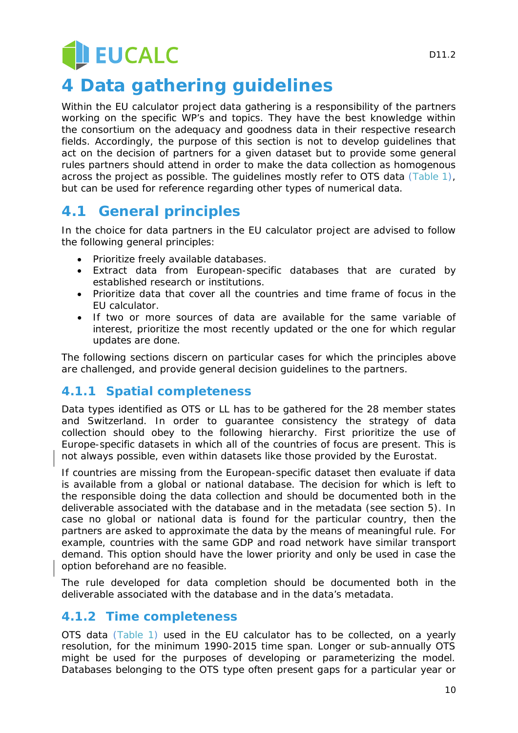## **JEUCALC**

## <span id="page-9-2"></span>**4 Data gathering guidelines**

Within the EU calculator project data gathering is a responsibility of the partners working on the specific WP's and topics. They have the best knowledge within the consortium on the adequacy and goodness data in their respective research fields. Accordingly, the purpose of this section is not to develop guidelines that act on the decision of partners for a given dataset but to provide some general rules partners should attend in order to make the data collection as homogenous across the project as possible. The guidelines mostly refer to OTS data [\(Table 1\)](#page-8-0), but can be used for reference regarding other types of numerical data.

### **4.1 General principles**

In the choice for data partners in the EU calculator project are advised to follow the following general principles:

- Prioritize freely available databases.
- Extract data from European-specific databases that are curated by established research or institutions.
- Prioritize data that cover all the countries and time frame of focus in the EU calculator.
- If two or more sources of data are available for the same variable of interest, prioritize the most recently updated or the one for which regular updates are done.

The following sections discern on particular cases for which the principles above are challenged, and provide general decision guidelines to the partners.

### <span id="page-9-0"></span>**4.1.1 Spatial completeness**

Data types identified as OTS or LL has to be gathered for the 28 member states and Switzerland. In order to guarantee consistency the strategy of data collection should obey to the following hierarchy. First prioritize the use of Europe-specific datasets in which all of the countries of focus are present. This is not always possible, even within datasets like those provided by the Eurostat.

If countries are missing from the European-specific dataset then evaluate if data is available from a global or national database. The decision for which is left to the responsible doing the data collection and should be documented both in the deliverable associated with the database and in the metadata (see section [5\)](#page-10-0). In case no global or national data is found for the particular country, then the partners are asked to approximate the data by the means of meaningful rule. For example, countries with the same GDP and road network have similar transport demand. This option should have the lower priority and only be used in case the option beforehand are no feasible.

The rule developed for data completion should be documented both in the deliverable associated with the database and in the data's metadata.

### <span id="page-9-1"></span>**4.1.2 Time completeness**

OTS data [\(Table 1\)](#page-8-0) used in the EU calculator has to be collected, on a yearly resolution, for the minimum 1990-2015 time span. Longer or sub-annually OTS might be used for the purposes of developing or parameterizing the model. Databases belonging to the OTS type often present gaps for a particular year or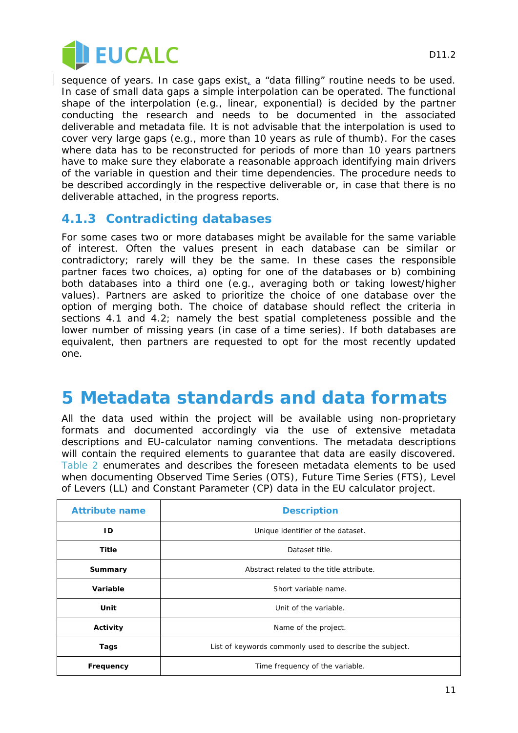

sequence of years. In case gaps exist, a "data filling" routine needs to be used. In case of small data gaps a simple interpolation can be operated. The functional shape of the interpolation (e.g., linear, exponential) is decided by the partner conducting the research and needs to be documented in the associated deliverable and metadata file. It is not advisable that the interpolation is used to cover very large gaps (e.g., more than 10 years as rule of thumb). For the cases where data has to be reconstructed for periods of more than 10 years partners have to make sure they elaborate a reasonable approach identifying main drivers of the variable in question and their time dependencies. The procedure needs to be described accordingly in the respective deliverable or, in case that there is no deliverable attached, in the progress reports.

### **4.1.3 Contradicting databases**

For some cases two or more databases might be available for the same variable of interest. Often the values present in each database can be similar or contradictory; rarely will they be the same. In these cases the responsible partner faces two choices, a) opting for one of the databases or b) combining both databases into a third one (e.g., averaging both or taking lowest/higher values). Partners are asked to prioritize the choice of one database over the option of merging both. The choice of database should reflect the criteria in sections [4.1](#page-9-0) and [4.2;](#page-9-1) namely the best spatial completeness possible and the lower number of missing years (in case of a time series). If both databases are equivalent, then partners are requested to opt for the most recently updated one.

### <span id="page-10-0"></span>**5 Metadata standards and data formats**

All the data used within the project will be available using non-proprietary formats and documented accordingly via the use of extensive metadata descriptions and EU-calculator naming conventions. The metadata descriptions will contain the required elements to guarantee that data are easily discovered. [Table 2](#page-11-0) enumerates and describes the foreseen metadata elements to be used when documenting Observed Time Series (OTS), Future Time Series (FTS), Level of Levers (LL) and Constant Parameter (CP) data in the EU calculator project.

| <b>Attribute name</b> | <b>Description</b>                                      |  |  |
|-----------------------|---------------------------------------------------------|--|--|
| ID                    | Unique identifier of the dataset.                       |  |  |
| Title                 | Dataset title.                                          |  |  |
| Summary               | Abstract related to the title attribute.                |  |  |
| Variable              | Short variable name.                                    |  |  |
| Unit                  | Unit of the variable.                                   |  |  |
| Activity              | Name of the project.                                    |  |  |
| Tags                  | List of keywords commonly used to describe the subject. |  |  |
| Frequency             | Time frequency of the variable.                         |  |  |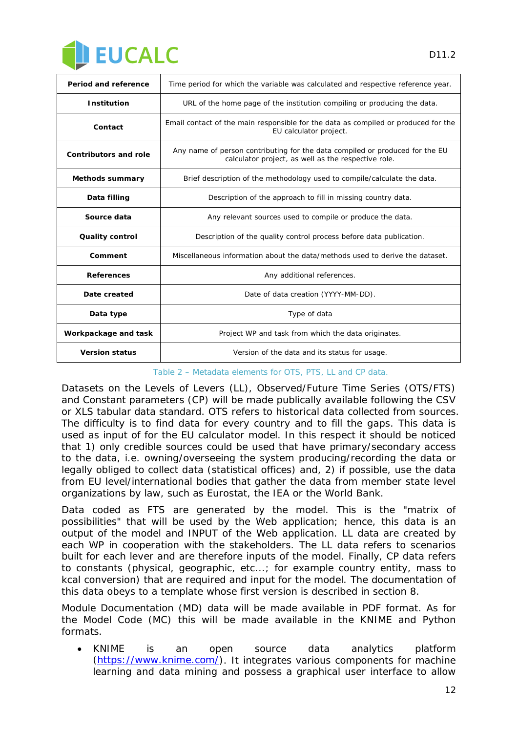

| <b>Period and reference</b>  | Time period for which the variable was calculated and respective reference year.                                                    |
|------------------------------|-------------------------------------------------------------------------------------------------------------------------------------|
| <b>Institution</b>           | URL of the home page of the institution compiling or producing the data.                                                            |
| Contact                      | Email contact of the main responsible for the data as compiled or produced for the<br>EU calculator project.                        |
| <b>Contributors and role</b> | Any name of person contributing for the data compiled or produced for the EU<br>calculator project, as well as the respective role. |
| <b>Methods summary</b>       | Brief description of the methodology used to compile/calculate the data.                                                            |
| Data filling                 | Description of the approach to fill in missing country data.                                                                        |
| Source data                  | Any relevant sources used to compile or produce the data.                                                                           |
| <b>Quality control</b>       | Description of the quality control process before data publication.                                                                 |
| Comment                      | Miscellaneous information about the data/methods used to derive the dataset.                                                        |
| <b>References</b>            | Any additional references.                                                                                                          |
| Date created                 | Date of data creation (YYYY-MM-DD).                                                                                                 |
| Data type                    | Type of data                                                                                                                        |
| Workpackage and task         | Project WP and task from which the data originates.                                                                                 |
| <b>Version status</b>        | Version of the data and its status for usage.                                                                                       |

*Table 2 – Metadata elements for OTS, PTS, LL and CP data.* 

<span id="page-11-0"></span>Datasets on the Levels of Levers (LL), Observed/Future Time Series (OTS/FTS) and Constant parameters (CP) will be made publically available following the CSV or XLS tabular data standard. OTS refers to historical data collected from sources. The difficulty is to find data for every country and to fill the gaps. This data is used as input of for the EU calculator model. In this respect it should be noticed that 1) only credible sources could be used that have primary/secondary access to the data, i.e. owning/overseeing the system producing/recording the data or legally obliged to collect data (statistical offices) and, 2) if possible, use the data from EU level/international bodies that gather the data from member state level organizations by law, such as Eurostat, the IEA or the World Bank.

Data coded as FTS are generated by the model. This is the "matrix of possibilities" that will be used by the Web application; hence, this data is an output of the model and INPUT of the Web application. LL data are created by each WP in cooperation with the stakeholders. The LL data refers to scenarios built for each lever and are therefore inputs of the model. Finally, CP data refers to constants (physical, geographic, etc...; for example country entity, mass to kcal conversion) that are required and input for the model. The documentation of this data obeys to a template whose first version is described in section [8.](#page-15-0)

Module Documentation (MD) data will be made available in PDF format. As for the Model Code (MC) this will be made available in the KNIME and Python formats.

• KNIME is an open source data analytics platform [\(https://www.knime.com/\)](https://www.knime.com/). It integrates various components for machine learning and data mining and possess a graphical user interface to allow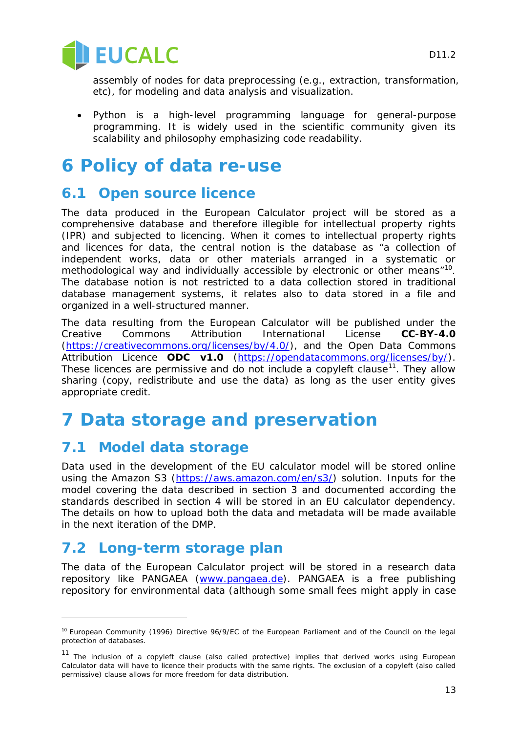

assembly of nodes for data preprocessing (e.g., extraction, transformation, etc), for modeling and data analysis and visualization.

• Python is a high-level programming language for general-purpose programming. It is widely used in the scientific community given its scalability and philosophy emphasizing code readability.

## **6 Policy of data re-use**

### **6.1 Open source licence**

The data produced in the European Calculator project will be stored as a comprehensive database and therefore illegible for intellectual property rights (IPR) and subjected to licencing. When it comes to intellectual property rights and licences for data, the central notion is the database as "a collection of independent works, data or other materials arranged in a systematic or methodological way and individually accessible by electronic or other means"<sup>10</sup>. The database notion is not restricted to a data collection stored in traditional database management systems, it relates also to data stored in a file and organized in a well-structured manner.

The data resulting from the European Calculator will be published under the Creative Commons Attribution International License **CC-BY-4.0** [\(https://creativecommons.org/licenses/by/4.0/\)](https://creativecommons.org/licenses/by/4.0/), and the Open Data Commons Attribution Licence **ODC** v1.0 [\(https://opendatacommons.org/licenses/by/\)](https://opendatacommons.org/licenses/by/). These licences are permissive and do not include a copyleft clause<sup>[11](#page-12-1)</sup>. They allow sharing (copy, redistribute and use the data) as long as the user entity gives appropriate credit.

### **7 Data storage and preservation**

### <span id="page-12-2"></span>**7.1 Model data storage**

Data used in the development of the EU calculator model will be stored online using the Amazon S3 [\(https://aws.amazon.com/en/s3/\)](https://aws.amazon.com/en/s3/) solution. Inputs for the model covering the data described in section [3](#page-7-6) and documented according the standards described in section [4](#page-9-2) will be stored in an EU calculator dependency. The details on how to upload both the data and metadata will be made available in the next iteration of the DMP.

### **7.2 Long-term storage plan**

l

The data of the European Calculator project will be stored in a research data repository like PANGAEA [\(www.pangaea.de\)](http://www.pangaea.de/). PANGAEA is a free publishing repository for environmental data (although some small fees might apply in case

<span id="page-12-0"></span><sup>&</sup>lt;sup>10</sup> European Community (1996) Directive 96/9/EC of the European Parliament and of the Council on the legal protection of databases.

<span id="page-12-1"></span><sup>11</sup> The inclusion of a *copyleft* clause (also called protective) implies that derived works using European Calculator data will have to licence their products with the same rights. The exclusion of a *copyleft* (also called permissive) clause allows for more freedom for data distribution.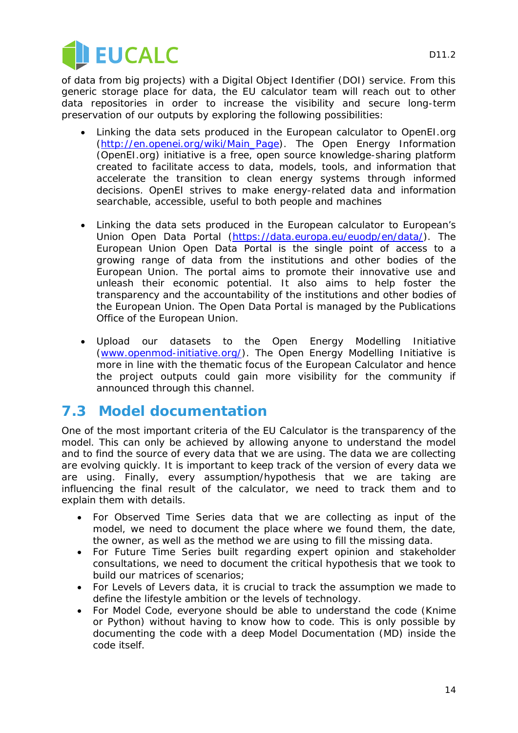



of data from big projects) with a Digital Object Identifier (DOI) service. From this generic storage place for data, the EU calculator team will reach out to other data repositories in order to increase the visibility and secure long-term preservation of our outputs by exploring the following possibilities:

- Linking the data sets produced in the European calculator to OpenEI.org [\(http://en.openei.org/wiki/Main\\_Page\)](http://en.openei.org/wiki/Main_Page). The Open Energy Information (OpenEI.org) initiative is a free, open source knowledge-sharing platform created to facilitate access to data, models, tools, and information that accelerate the transition to clean energy systems through informed decisions. OpenEI strives to make energy-related data and information searchable, accessible, useful to both people and machines
- Linking the data sets produced in the European calculator to European's Union Open Data Portal [\(https://data.europa.eu/euodp/en/data/\)](https://data.europa.eu/euodp/en/data/). The European Union Open Data Portal is the single point of access to a growing range of data from the institutions and other bodies of the European Union. The portal aims to promote their innovative use and unleash their economic potential. It also aims to help foster the transparency and the accountability of the institutions and other bodies of the European Union. The Open Data Portal is managed by the Publications Office of the European Union.
- Upload our datasets to the Open Energy Modelling Initiative [\(www.openmod-initiative.org/\)](http://www.openmod-initiative.org/). The Open Energy Modelling Initiative is more in line with the thematic focus of the European Calculator and hence the project outputs could gain more visibility for the community if announced through this channel.

### **7.3 Model documentation**

One of the most important criteria of the EU Calculator is the transparency of the model. This can only be achieved by allowing anyone to understand the model and to find the source of every data that we are using. The data we are collecting are evolving quickly. It is important to keep track of the version of every data we are using. Finally, every assumption/hypothesis that we are taking are influencing the final result of the calculator, we need to track them and to explain them with details.

- For Observed Time Series data that we are collecting as input of the model, we need to document the place where we found them, the date, the owner, as well as the method we are using to fill the missing data.
- For Future Time Series built regarding expert opinion and stakeholder consultations, we need to document the critical hypothesis that we took to build our matrices of scenarios;
- For Levels of Levers data, it is crucial to track the assumption we made to define the lifestyle ambition or the levels of technology.
- For Model Code, everyone should be able to understand the code (Knime or Python) without having to know how to code. This is only possible by documenting the code with a deep Model Documentation (MD) inside the code itself.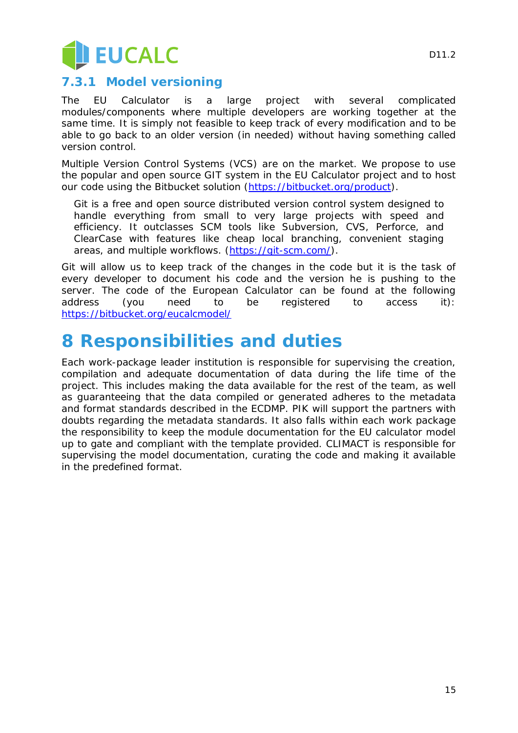

### **7.3.1 Model versioning**

The EU Calculator is a large project with several complicated modules/components where multiple developers are working together at the same time. It is simply not feasible to keep track of every modification and to be able to go back to an older version (in needed) without having something called version control.

Multiple Version Control Systems (VCS) are on the market. We propose to use the popular and open source GIT system in the EU Calculator project and to host our code using the Bitbucket solution [\(https://bitbucket.org/product\)](https://bitbucket.org/product).

Git is a free and open source distributed version control system designed to handle everything from small to very large projects with speed and efficiency. It outclasses SCM tools like Subversion, CVS, Perforce, and ClearCase with features like cheap local branching, convenient staging areas, and multiple workflows. [\(https://git-scm.com/\)](https://git-scm.com/).

Git will allow us to keep track of the changes in the code but it is the task of every developer to document his code and the version he is pushing to the server. The code of the European Calculator can be found at the following address (you need to be registered to access it): <https://bitbucket.org/eucalcmodel/>

## **8 Responsibilities and duties**

Each work-package leader institution is responsible for supervising the creation, compilation and adequate documentation of data during the life time of the project. This includes making the data available for the rest of the team, as well as guaranteeing that the data compiled or generated adheres to the metadata and format standards described in the ECDMP. PIK will support the partners with doubts regarding the metadata standards. It also falls within each work package the responsibility to keep the module documentation for the EU calculator model up to gate and compliant with the template provided. CLIMACT is responsible for supervising the model documentation, curating the code and making it available in the predefined format.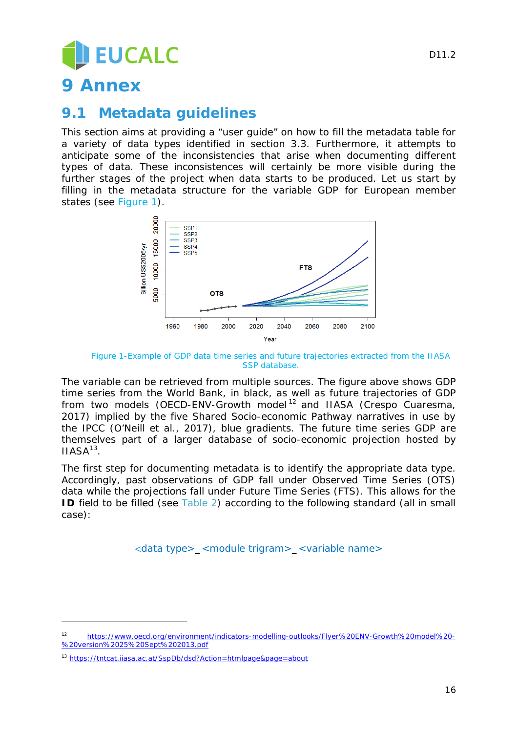# **EUCALC**

### <span id="page-15-0"></span>**9 Annex**

### **9.1 Metadata guidelines**

This section aims at providing a "user guide" on how to fill the metadata table for a variety of data types identified in section [3.3.](#page-8-1) Furthermore, it attempts to anticipate some of the inconsistencies that arise when documenting different types of data. These inconsistences will certainly be more visible during the further stages of the project when data starts to be produced. Let us start by filling in the metadata structure for the variable GDP for European member states (see [Figure 1\)](#page-15-1).



*Figure 1-Example of GDP data time series and future trajectories extracted from the IIASA SSP database.*

<span id="page-15-1"></span>The variable can be retrieved from multiple sources. The figure above shows GDP time series from the World Bank, in black, as well as future trajectories of GDP from two models (OECD-ENV-Growth model [12](#page-15-2) and IIASA (Crespo Cuaresma, 2017) implied by the five Shared Socio-economic Pathway narratives in use by the IPCC (O'Neill et al., 2017), blue gradients. The future time series GDP are themselves part of a larger database of socio-economic projection hosted by  $IIASA^{13}$ .

The first step for documenting metadata is to identify the appropriate data type. Accordingly, past observations of GDP fall under Observed Time Series (OTS) data while the projections fall under Future Time Series (FTS). This allows for the **ID** field to be filled (see [Table 2\)](#page-11-0) according to the following standard (all in small case):

<data type>**\_**<module trigram>**\_**<variable name>

l,

<span id="page-15-2"></span><sup>12</sup> [https://www.oecd.org/environment/indicators-modelling-outlooks/Flyer%20ENV-Growth%20model%20-](https://www.oecd.org/environment/indicators-modelling-outlooks/Flyer%20ENV-Growth%20model%20-%20version%2025%20Sept%202013.pdf) [%20version%2025%20Sept%202013.pdf](https://www.oecd.org/environment/indicators-modelling-outlooks/Flyer%20ENV-Growth%20model%20-%20version%2025%20Sept%202013.pdf)

<span id="page-15-3"></span><sup>13</sup> <https://tntcat.iiasa.ac.at/SspDb/dsd?Action=htmlpage&page=about>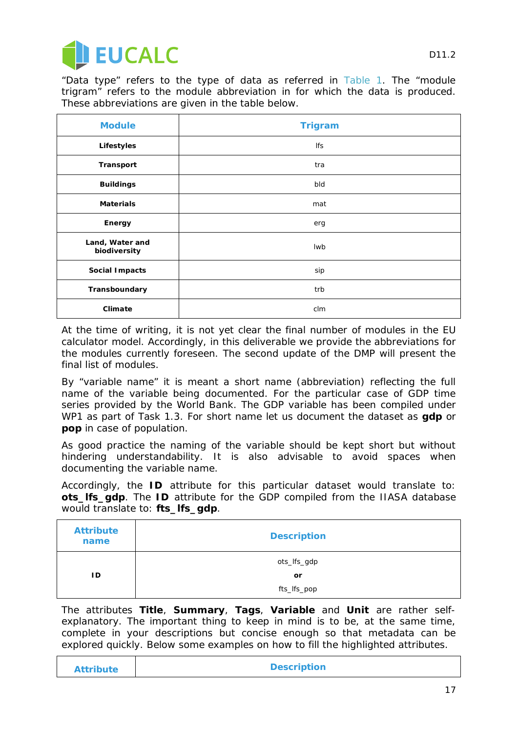

"Data type" refers to the type of data as referred in [Table 1.](#page-8-0) The "module trigram" refers to the module abbreviation in for which the data is produced. These abbreviations are given in the table below.

| <b>Module</b>                   | <b>Trigram</b> |
|---------------------------------|----------------|
| Lifestyles                      | Ifs            |
| <b>Transport</b>                | tra            |
| <b>Buildings</b>                | bld            |
| <b>Materials</b>                | mat            |
| Energy                          | erg            |
| Land, Water and<br>biodiversity | <b>Iwb</b>     |
| Social Impacts                  | sip            |
| Transboundary                   | trb            |
| Climate                         | clm            |

At the time of writing, it is not yet clear the final number of modules in the EU calculator model. Accordingly, in this deliverable we provide the abbreviations for the modules currently foreseen. The second update of the DMP will present the final list of modules.

By "variable name" it is meant a short name (abbreviation) reflecting the full name of the variable being documented. For the particular case of GDP time series provided by the World Bank. The GDP variable has been compiled under WP1 as part of Task 1.3. For short name let us document the dataset as **gdp** or **pop** in case of population.

As good practice the naming of the variable should be kept short but without hindering understandability. It is also advisable to avoid spaces when documenting the variable name.

Accordingly, the *ID* attribute for this particular dataset would translate to: **ots\_lfs\_gdp**. The *ID* attribute for the GDP compiled from the IIASA database would translate to: **fts\_lfs\_gdp**.

| <b>Attribute</b><br>name | <b>Description</b> |
|--------------------------|--------------------|
|                          | ots_lfs_gdp        |
| ID                       | or                 |
|                          | fts_lfs_pop        |

The attributes **Title**, **Summary**, **Tags**, **Variable** and **Unit** are rather selfexplanatory. The important thing to keep in mind is to be, at the same time, complete in your descriptions but concise enough so that metadata can be explored quickly. Below some examples on how to fill the highlighted attributes.

| <b>Attribute</b> | <b>Description</b> |
|------------------|--------------------|
|                  |                    |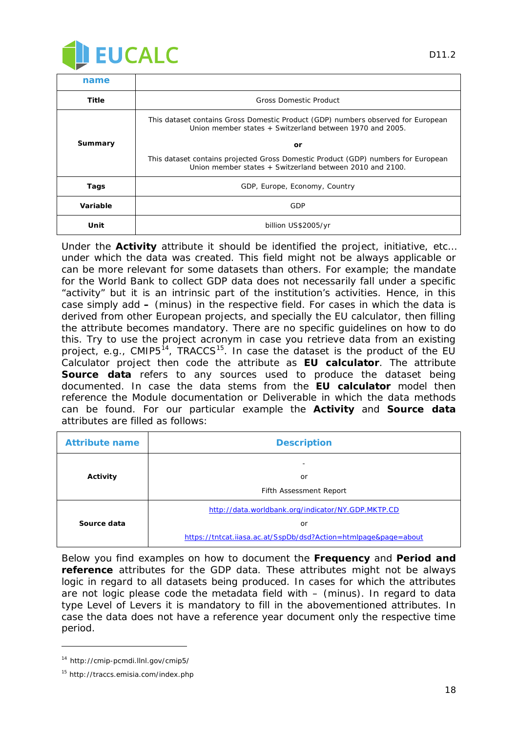

| name           |                                                                                                                                               |
|----------------|-----------------------------------------------------------------------------------------------------------------------------------------------|
| Title          | <b>Gross Domestic Product</b>                                                                                                                 |
|                | This dataset contains Gross Domestic Product (GDP) numbers observed for European<br>Union member states + Switzerland between 1970 and 2005.  |
| <b>Summary</b> | or                                                                                                                                            |
|                | This dataset contains projected Gross Domestic Product (GDP) numbers for European<br>Union member states + Switzerland between 2010 and 2100. |
| Tags           | GDP, Europe, Economy, Country                                                                                                                 |
| Variable       | GDP                                                                                                                                           |
| Unit           | billion US\$2005/yr                                                                                                                           |

Under the **Activity** attribute it should be identified the project, initiative, etc… under which the data was created. This field might not be always applicable or can be more relevant for some datasets than others. For example; the mandate for the World Bank to collect GDP data does not necessarily fall under a specific "activity" but it is an intrinsic part of the institution's activities. Hence, in this case simply add **–** (minus) in the respective field. For cases in which the data is derived from other European projects, and specially the EU calculator, then filling the attribute becomes mandatory. There are no specific guidelines on how to do this. Try to use the project acronym in case you retrieve data from an existing project, e.g., CMIP5<sup>[14](#page-17-0)</sup>, TRACCS<sup>15</sup>. In case the dataset is the product of the EU Calculator project then code the attribute as **EU calculator**. The attribute **Source data** refers to any sources used to produce the dataset being documented. In case the data stems from the **EU calculator** model then reference the Module documentation or Deliverable in which the data methods can be found. For our particular example the **Activity** and **Source data** attributes are filled as follows:

| <b>Attribute name</b> | <b>Description</b>                                              |
|-----------------------|-----------------------------------------------------------------|
| Activity              | or                                                              |
|                       | Fifth Assessment Report                                         |
|                       | http://data.worldbank.org/indicator/NY.GDP.MKTP.CD              |
| Source data           | or                                                              |
|                       | https://tntcat.iiasa.ac.at/SspDb/dsd?Action=htmlpage&page=about |

Below you find examples on how to document the **Frequency** and **Period and reference** attributes for the GDP data. These attributes might not be always logic in regard to all datasets being produced. In cases for which the attributes are not logic please code the metadata field with – (minus). In regard to data type Level of Levers it is mandatory to fill in the abovementioned attributes. In case the data does not have a reference year document only the respective time period.

l

<span id="page-17-0"></span><sup>14</sup> http://cmip-pcmdi.llnl.gov/cmip5/

<span id="page-17-1"></span><sup>15</sup> http://traccs.emisia.com/index.php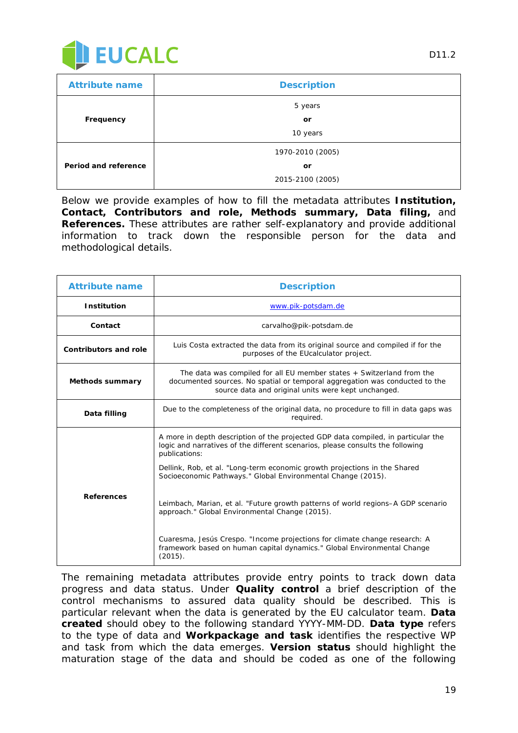

| <b>Attribute name</b> | <b>Description</b> |
|-----------------------|--------------------|
|                       | 5 years            |
| Frequency             | or                 |
|                       | 10 years           |
|                       | 1970-2010 (2005)   |
| Period and reference  | or                 |
|                       | 2015-2100 (2005)   |

Below we provide examples of how to fill the metadata attributes **Institution, Contact, Contributors and role, Methods summary, Data filing,** and **References.** These attributes are rather self-explanatory and provide additional information to track down the responsible person for the data and methodological details.

| <b>Attribute name</b>        | <b>Description</b>                                                                                                                                                                                                                                                                                                                |
|------------------------------|-----------------------------------------------------------------------------------------------------------------------------------------------------------------------------------------------------------------------------------------------------------------------------------------------------------------------------------|
| <b>Institution</b>           | www.pik-potsdam.de                                                                                                                                                                                                                                                                                                                |
| Contact                      | carvalho@pik-potsdam.de                                                                                                                                                                                                                                                                                                           |
| <b>Contributors and role</b> | Luis Costa extracted the data from its original source and compiled if for the<br>purposes of the EU calculator project.                                                                                                                                                                                                          |
| <b>Methods summary</b>       | The data was compiled for all EU member states + Switzerland from the<br>documented sources. No spatial or temporal aggregation was conducted to the<br>source data and original units were kept unchanged.                                                                                                                       |
| Data filling                 | Due to the completeness of the original data, no procedure to fill in data gaps was<br>required.                                                                                                                                                                                                                                  |
|                              | A more in depth description of the projected GDP data compiled, in particular the<br>logic and narratives of the different scenarios, please consults the following<br>publications:<br>Dellink, Rob, et al. "Long-term economic growth projections in the Shared<br>Socioeconomic Pathways." Global Environmental Change (2015). |
| <b>References</b>            | Leimbach, Marian, et al. "Future growth patterns of world regions-A GDP scenario<br>approach." Global Environmental Change (2015).                                                                                                                                                                                                |
|                              | Cuaresma, Jesús Crespo. "Income projections for climate change research: A<br>framework based on human capital dynamics." Global Environmental Change<br>(2015).                                                                                                                                                                  |

The remaining metadata attributes provide entry points to track down data progress and data status. Under **Quality control** a brief description of the control mechanisms to assured data quality should be described. This is particular relevant when the data is generated by the EU calculator team. **Data created** should obey to the following standard YYYY-MM-DD. **Data type** refers to the type of data and **Workpackage and task** identifies the respective WP and task from which the data emerges. **Version status** should highlight the maturation stage of the data and should be coded as one of the following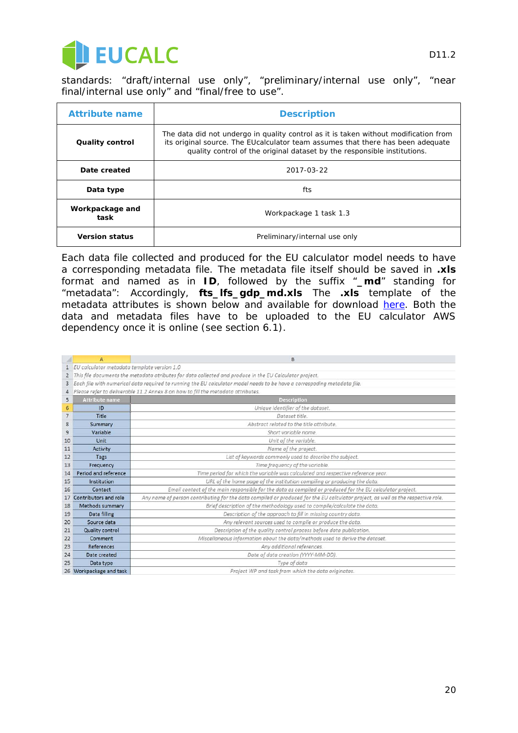

standards: "draft/internal use only", "preliminary/internal use only", "near final/internal use only" and "final/free to use".

| <b>Attribute name</b>   | <b>Description</b>                                                                                                                                                                                                                                  |
|-------------------------|-----------------------------------------------------------------------------------------------------------------------------------------------------------------------------------------------------------------------------------------------------|
| <b>Quality control</b>  | The data did not undergo in quality control as it is taken without modification from<br>its original source. The EUcalculator team assumes that there has been adequate<br>quality control of the original dataset by the responsible institutions. |
| Date created            | 2017-03-22                                                                                                                                                                                                                                          |
| Data type               | fts                                                                                                                                                                                                                                                 |
| Workpackage and<br>task | Workpackage 1 task 1.3                                                                                                                                                                                                                              |
| <b>Version status</b>   | Preliminary/internal use only                                                                                                                                                                                                                       |

Each data file collected and produced for the EU calculator model needs to have a corresponding metadata file. The metadata file itself should be saved in **.xls** format and named as in **ID**, followed by the suffix "**\_md**" standing for "metadata": Accordingly, **fts\_lfs\_gdp\_md.xls** The **.xls** template of the metadata attributes is shown below and available for download [here.](https://docs.google.com/spreadsheets/d/1j-JxzFAQXyRmj14bAlyI_RFAcBjPSt08QhZYDYiZKJg/edit#gid=1711179658) Both the data and metadata files have to be uploaded to the EU calculator AWS dependency once it is online (see section [6.1\)](#page-12-2).

|                | A                                                                                                                        | B                                                                                                                                |  |
|----------------|--------------------------------------------------------------------------------------------------------------------------|----------------------------------------------------------------------------------------------------------------------------------|--|
|                | EU calculator metadata template version 1.0                                                                              |                                                                                                                                  |  |
| $\overline{2}$ | This file documents the metadata atributes for data collected and produce in the EU Calculator project.                  |                                                                                                                                  |  |
| 3              | Each file with numerical data required to running the EU calculator model needs to be have a correspoding metadata file. |                                                                                                                                  |  |
| 4              | Please refer to deliverable 11.2 Annex 8 on how to fill the metadata attributes.                                         |                                                                                                                                  |  |
| 5              | <b>Attribute name</b>                                                                                                    | <b>Description</b>                                                                                                               |  |
| 6              | ID                                                                                                                       | Unique identifier of the dataset.                                                                                                |  |
| $\overline{7}$ | Title                                                                                                                    | Dataset title                                                                                                                    |  |
| 8              | Summary                                                                                                                  | Abstract related to the title attribute.                                                                                         |  |
| 9              | Variable                                                                                                                 | Short variable name                                                                                                              |  |
| 10             | Unit                                                                                                                     | Unit of the variable.                                                                                                            |  |
| 11             | Activity                                                                                                                 | Name of the project.                                                                                                             |  |
| 12             | Tags                                                                                                                     | List of keywords commonly used to describe the subject.                                                                          |  |
| 13             | Frequency                                                                                                                | Time frequency of the variable.                                                                                                  |  |
| 14             | Period and reference                                                                                                     | Time period for which the variable was calculated and respective reference year.                                                 |  |
| 15             | Institution                                                                                                              | URL of the home page of the institution compiling or producing the data.                                                         |  |
| 16             | Contact                                                                                                                  | Email contact of the main responsible for the data as compiled or produced for the EU calculator project.                        |  |
| 17             | Contributors and role                                                                                                    | Any name of person contributing for the data compiled or produced for the EU calculator project, as well as the respective role. |  |
| 18             | Methods summary                                                                                                          | Brief description of the methodology used to compile/calculate the data.                                                         |  |
| 19             | Data filling                                                                                                             | Description of the approach to fill in missing country data.                                                                     |  |
| 20             | Source data                                                                                                              | Any relevant sources used to compile or produce the data.                                                                        |  |
| 21             | <b>Quality control</b>                                                                                                   | Description of the quality control process before data publication.                                                              |  |
| 22             | Comment                                                                                                                  | Miscellaneous information about the data/methods used to derive the dataset.                                                     |  |
| 23             | References                                                                                                               | Any additional references.                                                                                                       |  |
| 24             | Date created                                                                                                             | Date of data creation (YYYY-MM-DD).                                                                                              |  |
| 25             | Data type                                                                                                                | Type of data                                                                                                                     |  |
|                | 26 Workpackage and task                                                                                                  | Project WP and task from which the data originates.                                                                              |  |